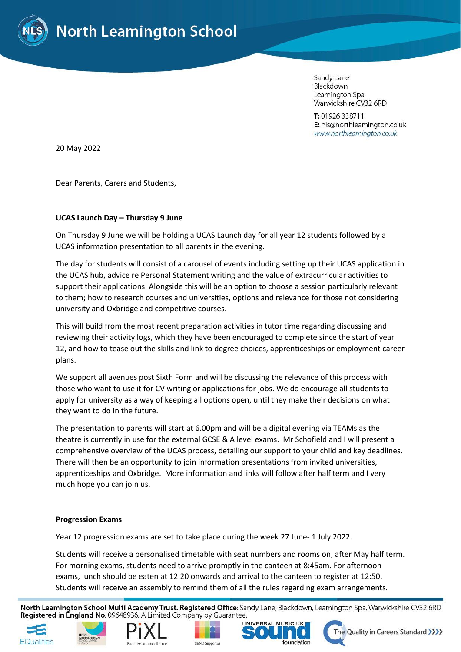

Sandy Lane Blackdown Leamington Spa Warwickshire CV32 6RD

T: 01926 338711 E: nls@northleamington.co.uk www.northleamington.co.uk

20 May 2022

Dear Parents, Carers and Students,

### **UCAS Launch Day – Thursday 9 June**

On Thursday 9 June we will be holding a UCAS Launch day for all year 12 students followed by a UCAS information presentation to all parents in the evening.

The day for students will consist of a carousel of events including setting up their UCAS application in the UCAS hub, advice re Personal Statement writing and the value of extracurricular activities to support their applications. Alongside this will be an option to choose a session particularly relevant to them; how to research courses and universities, options and relevance for those not considering university and Oxbridge and competitive courses.

This will build from the most recent preparation activities in tutor time regarding discussing and reviewing their activity logs, which they have been encouraged to complete since the start of year 12, and how to tease out the skills and link to degree choices, apprenticeships or employment career plans.

We support all avenues post Sixth Form and will be discussing the relevance of this process with those who want to use it for CV writing or applications for jobs. We do encourage all students to apply for university as a way of keeping all options open, until they make their decisions on what they want to do in the future.

The presentation to parents will start at 6.00pm and will be a digital evening via TEAMs as the theatre is currently in use for the external GCSE & A level exams. Mr Schofield and I will present a comprehensive overview of the UCAS process, detailing our support to your child and key deadlines. There will then be an opportunity to join information presentations from invited universities, apprenticeships and Oxbridge. More information and links will follow after half term and I very much hope you can join us.

### **Progression Exams**

Year 12 progression exams are set to take place during the week 27 June- 1 July 2022.

Students will receive a personalised timetable with seat numbers and rooms on, after May half term. For morning exams, students need to arrive promptly in the canteen at 8:45am. For afternoon exams, lunch should be eaten at 12:20 onwards and arrival to the canteen to register at 12:50. Students will receive an assembly to remind them of all the rules regarding exam arrangements.

North Leamington School Multi Academy Trust. Registered Office: Sandy Lane, Blackdown, Leamington Spa, Warwickshire CV32 6RD Registered in England No. 09648936. A Limited Company by Guarantee.











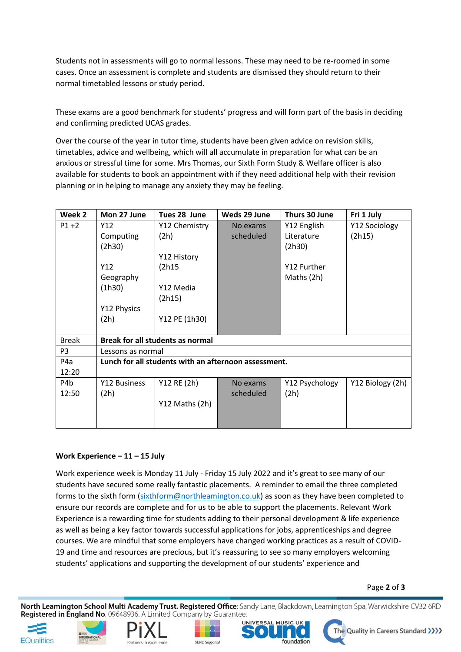Students not in assessments will go to normal lessons. These may need to be re-roomed in some cases. Once an assessment is complete and students are dismissed they should return to their normal timetabled lessons or study period.

These exams are a good benchmark for students' progress and will form part of the basis in deciding and confirming predicted UCAS grades.

Over the course of the year in tutor time, students have been given advice on revision skills, timetables, advice and wellbeing, which will all accumulate in preparation for what can be an anxious or stressful time for some. Mrs Thomas, our Sixth Form Study & Welfare officer is also available for students to book an appointment with if they need additional help with their revision planning or in helping to manage any anxiety they may be feeling.

| Week 2         | Mon 27 June                                          | Tues 28 June   | Weds 29 June | Thurs 30 June  | Fri 1 July       |
|----------------|------------------------------------------------------|----------------|--------------|----------------|------------------|
| $P1 + 2$       | Y12                                                  | Y12 Chemistry  | No exams     | Y12 English    | Y12 Sociology    |
|                | Computing                                            | (2h)           | scheduled    | Literature     | (2h15)           |
|                | (2h30)                                               |                |              | (2h30)         |                  |
|                |                                                      | Y12 History    |              |                |                  |
|                | Y12                                                  | (2h15)         |              | Y12 Further    |                  |
|                | Geography                                            |                |              | Maths (2h)     |                  |
|                | (1h30)                                               | Y12 Media      |              |                |                  |
|                |                                                      | (2h15)         |              |                |                  |
|                | Y12 Physics                                          |                |              |                |                  |
|                | (2h)                                                 | Y12 PE (1h30)  |              |                |                  |
|                |                                                      |                |              |                |                  |
| <b>Break</b>   | <b>Break for all students as normal</b>              |                |              |                |                  |
| P <sub>3</sub> | Lessons as normal                                    |                |              |                |                  |
| P4a            | Lunch for all students with an afternoon assessment. |                |              |                |                  |
| 12:20          |                                                      |                |              |                |                  |
| P4b            | Y12 Business                                         | Y12 RE (2h)    | No exams     | Y12 Psychology | Y12 Biology (2h) |
| 12:50          | (2h)                                                 |                | scheduled    | (2h)           |                  |
|                |                                                      | Y12 Maths (2h) |              |                |                  |
|                |                                                      |                |              |                |                  |
|                |                                                      |                |              |                |                  |

# **Work Experience – 11 – 15 July**

Work experience week is Monday 11 July - Friday 15 July 2022 and it's great to see many of our students have secured some really fantastic placements. A reminder to email the three completed forms to the sixth form [\(sixthform@northleamington.co.uk\)](mailto:sixthform@northleamington.co.uk) as soon as they have been completed to ensure our records are complete and for us to be able to support the placements. Relevant Work Experience is a rewarding time for students adding to their personal development & life experience as well as being a key factor towards successful applications for jobs, apprenticeships and degree courses. We are mindful that some employers have changed working practices as a result of COVID-19 and time and resources are precious, but it's reassuring to see so many employers welcoming students' applications and supporting the development of our students' experience and

### Page **2** of **3**

North Leamington School Multi Academy Trust. Registered Office: Sandy Lane, Blackdown, Leamington Spa, Warwickshire CV32 6RD Registered in England No. 09648936. A Limited Company by Guarantee.